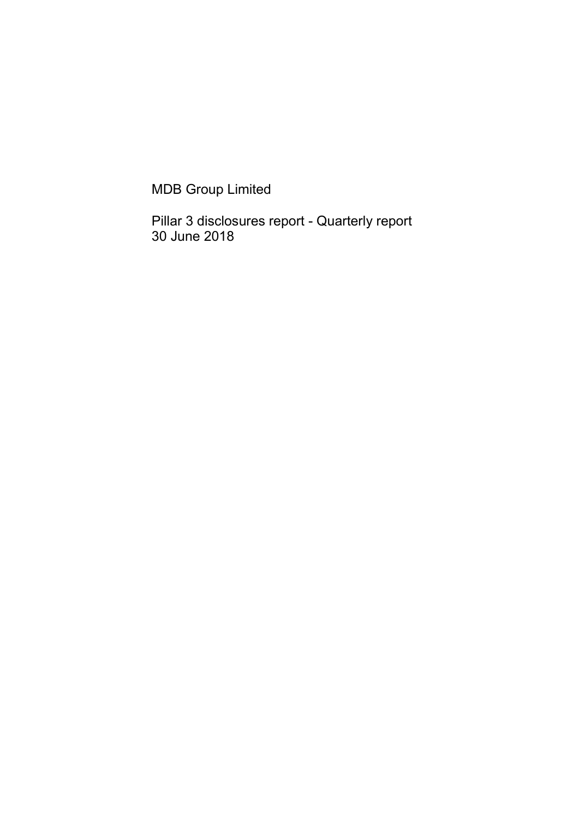MDB Group Limited

Pillar 3 disclosures report - Quarterly report 30 June 2018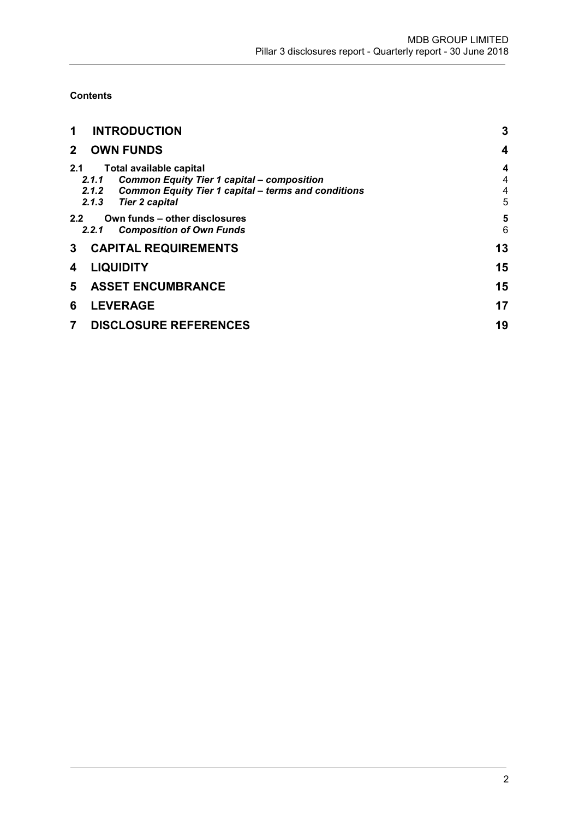**Contents** 

| <b>INTRODUCTION</b><br>1                                                                                                                                                                 | 3                               |
|------------------------------------------------------------------------------------------------------------------------------------------------------------------------------------------|---------------------------------|
| <b>OWN FUNDS</b><br>$\mathbf{2}$                                                                                                                                                         | 4                               |
| 2.1<br><b>Total available capital</b><br><b>Common Equity Tier 1 capital - composition</b><br>2.1.1<br>2.1.2 Common Equity Tier 1 capital – terms and conditions<br>2.1.3 Tier 2 capital | $\boldsymbol{4}$<br>4<br>4<br>5 |
| Own funds - other disclosures<br>$2.2^{\circ}$<br><b>Composition of Own Funds</b><br>2.2.1                                                                                               | 5<br>6                          |
| <b>CAPITAL REQUIREMENTS</b><br>3                                                                                                                                                         | 13                              |
| <b>LIQUIDITY</b><br>4                                                                                                                                                                    | 15                              |
| <b>ASSET ENCUMBRANCE</b><br>5                                                                                                                                                            | 15                              |
| <b>LEVERAGE</b><br>6                                                                                                                                                                     | 17                              |
| <b>DISCLOSURE REFERENCES</b><br>7                                                                                                                                                        | 19                              |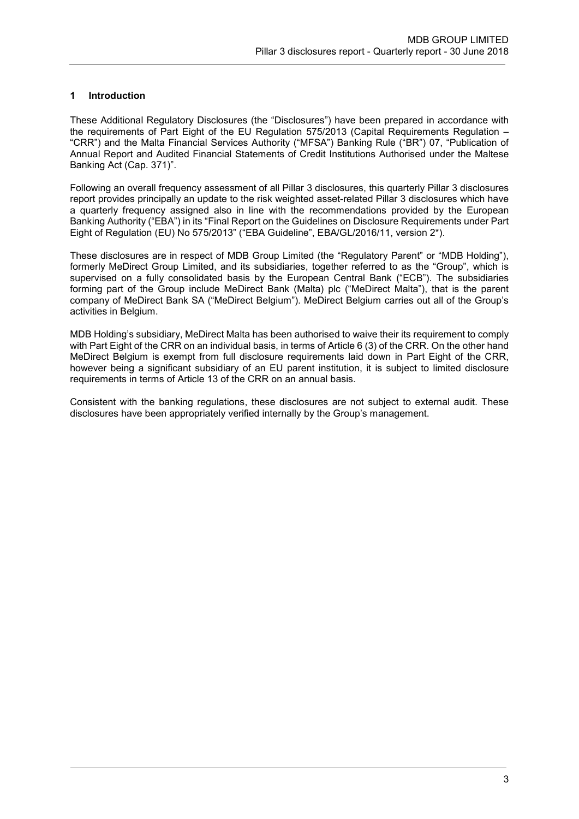# 1 Introduction

These Additional Regulatory Disclosures (the "Disclosures") have been prepared in accordance with the requirements of Part Eight of the EU Regulation 575/2013 (Capital Requirements Regulation – "CRR") and the Malta Financial Services Authority ("MFSA") Banking Rule ("BR") 07, "Publication of Annual Report and Audited Financial Statements of Credit Institutions Authorised under the Maltese Banking Act (Cap. 371)".

Following an overall frequency assessment of all Pillar 3 disclosures, this quarterly Pillar 3 disclosures report provides principally an update to the risk weighted asset-related Pillar 3 disclosures which have a quarterly frequency assigned also in line with the recommendations provided by the European Banking Authority ("EBA") in its "Final Report on the Guidelines on Disclosure Requirements under Part Eight of Regulation (EU) No 575/2013" ("EBA Guideline", EBA/GL/2016/11, version 2\*).

These disclosures are in respect of MDB Group Limited (the "Regulatory Parent" or "MDB Holding"), formerly MeDirect Group Limited, and its subsidiaries, together referred to as the "Group", which is supervised on a fully consolidated basis by the European Central Bank ("ECB"). The subsidiaries forming part of the Group include MeDirect Bank (Malta) plc ("MeDirect Malta"), that is the parent company of MeDirect Bank SA ("MeDirect Belgium"). MeDirect Belgium carries out all of the Group's activities in Belgium.

MDB Holding's subsidiary, MeDirect Malta has been authorised to waive their its requirement to comply with Part Eight of the CRR on an individual basis, in terms of Article 6 (3) of the CRR. On the other hand MeDirect Belgium is exempt from full disclosure requirements laid down in Part Eight of the CRR, however being a significant subsidiary of an EU parent institution, it is subject to limited disclosure requirements in terms of Article 13 of the CRR on an annual basis.

Consistent with the banking regulations, these disclosures are not subject to external audit. These disclosures have been appropriately verified internally by the Group's management.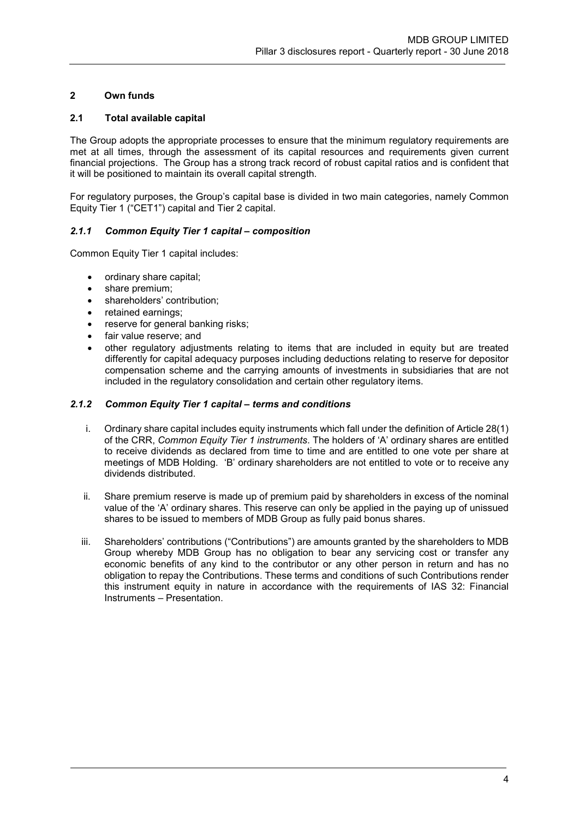# 2 Own funds

## 2.1 Total available capital

The Group adopts the appropriate processes to ensure that the minimum regulatory requirements are met at all times, through the assessment of its capital resources and requirements given current financial projections. The Group has a strong track record of robust capital ratios and is confident that it will be positioned to maintain its overall capital strength.

For regulatory purposes, the Group's capital base is divided in two main categories, namely Common Equity Tier 1 ("CET1") capital and Tier 2 capital.

# 2.1.1 Common Equity Tier 1 capital – composition

Common Equity Tier 1 capital includes:

- ordinary share capital;
- share premium:
- shareholders' contribution;
- retained earnings;
- reserve for general banking risks;
- fair value reserve; and
- other regulatory adjustments relating to items that are included in equity but are treated differently for capital adequacy purposes including deductions relating to reserve for depositor compensation scheme and the carrying amounts of investments in subsidiaries that are not included in the regulatory consolidation and certain other regulatory items.

### 2.1.2 Common Equity Tier 1 capital – terms and conditions

- i. Ordinary share capital includes equity instruments which fall under the definition of Article 28(1) of the CRR, Common Equity Tier 1 instruments. The holders of 'A' ordinary shares are entitled to receive dividends as declared from time to time and are entitled to one vote per share at meetings of MDB Holding. 'B' ordinary shareholders are not entitled to vote or to receive any dividends distributed.
- ii. Share premium reserve is made up of premium paid by shareholders in excess of the nominal value of the 'A' ordinary shares. This reserve can only be applied in the paying up of unissued shares to be issued to members of MDB Group as fully paid bonus shares.
- iii. Shareholders' contributions ("Contributions") are amounts granted by the shareholders to MDB Group whereby MDB Group has no obligation to bear any servicing cost or transfer any economic benefits of any kind to the contributor or any other person in return and has no obligation to repay the Contributions. These terms and conditions of such Contributions render this instrument equity in nature in accordance with the requirements of IAS 32: Financial Instruments – Presentation.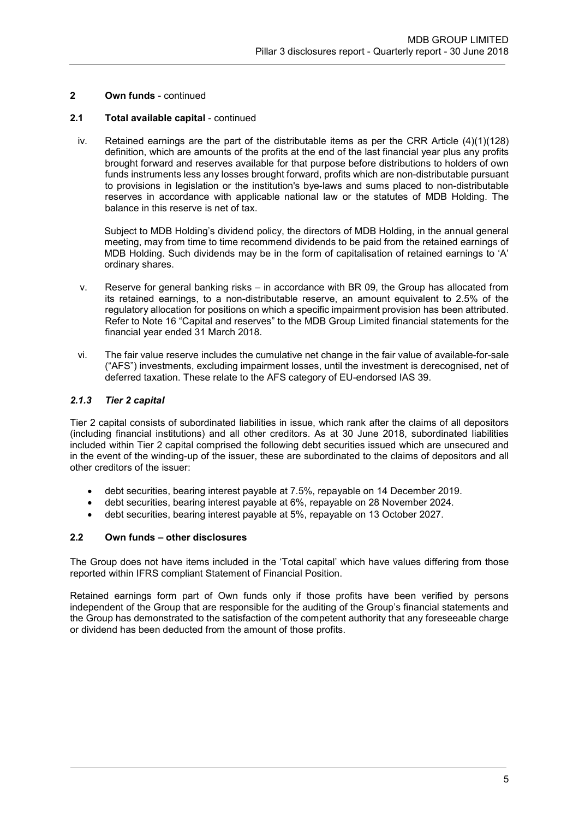# 2.1 Total available capital - continued

iv. Retained earnings are the part of the distributable items as per the CRR Article (4)(1)(128) definition, which are amounts of the profits at the end of the last financial year plus any profits brought forward and reserves available for that purpose before distributions to holders of own funds instruments less any losses brought forward, profits which are non-distributable pursuant to provisions in legislation or the institution's bye-laws and sums placed to non-distributable reserves in accordance with applicable national law or the statutes of MDB Holding. The balance in this reserve is net of tax.

Subject to MDB Holding's dividend policy, the directors of MDB Holding, in the annual general meeting, may from time to time recommend dividends to be paid from the retained earnings of MDB Holding. Such dividends may be in the form of capitalisation of retained earnings to 'A' ordinary shares.

- v. Reserve for general banking risks in accordance with BR 09, the Group has allocated from its retained earnings, to a non-distributable reserve, an amount equivalent to 2.5% of the regulatory allocation for positions on which a specific impairment provision has been attributed. Refer to Note 16 "Capital and reserves" to the MDB Group Limited financial statements for the financial year ended 31 March 2018.
- vi. The fair value reserve includes the cumulative net change in the fair value of available-for-sale ("AFS") investments, excluding impairment losses, until the investment is derecognised, net of deferred taxation. These relate to the AFS category of EU-endorsed IAS 39.

# 2.1.3 Tier 2 capital

Tier 2 capital consists of subordinated liabilities in issue, which rank after the claims of all depositors (including financial institutions) and all other creditors. As at 30 June 2018, subordinated liabilities included within Tier 2 capital comprised the following debt securities issued which are unsecured and in the event of the winding-up of the issuer, these are subordinated to the claims of depositors and all other creditors of the issuer:

- debt securities, bearing interest payable at 7.5%, repayable on 14 December 2019.
- debt securities, bearing interest payable at 6%, repayable on 28 November 2024.
- debt securities, bearing interest payable at 5%, repayable on 13 October 2027.

# 2.2 Own funds – other disclosures

The Group does not have items included in the 'Total capital' which have values differing from those reported within IFRS compliant Statement of Financial Position.

Retained earnings form part of Own funds only if those profits have been verified by persons independent of the Group that are responsible for the auditing of the Group's financial statements and the Group has demonstrated to the satisfaction of the competent authority that any foreseeable charge or dividend has been deducted from the amount of those profits.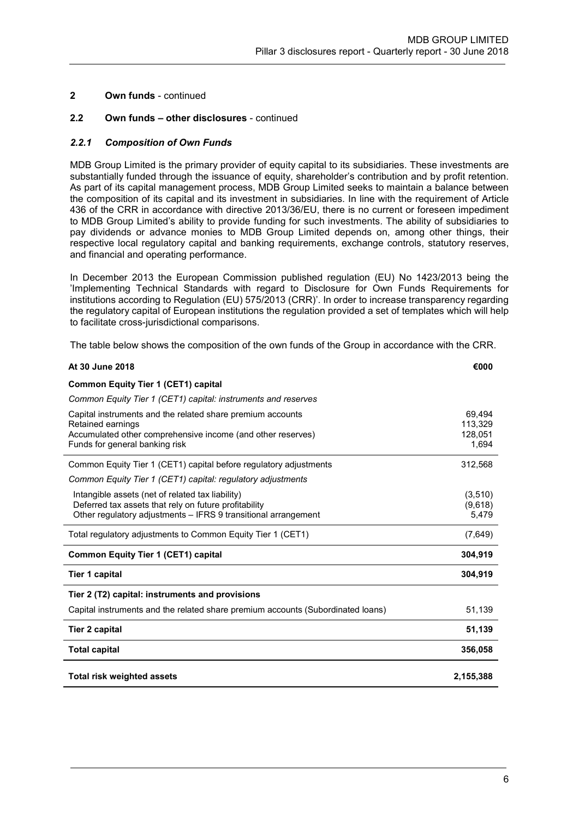## 2.2 Own funds – other disclosures - continued

## 2.2.1 Composition of Own Funds

MDB Group Limited is the primary provider of equity capital to its subsidiaries. These investments are substantially funded through the issuance of equity, shareholder's contribution and by profit retention. As part of its capital management process, MDB Group Limited seeks to maintain a balance between the composition of its capital and its investment in subsidiaries. In line with the requirement of Article 436 of the CRR in accordance with directive 2013/36/EU, there is no current or foreseen impediment to MDB Group Limited's ability to provide funding for such investments. The ability of subsidiaries to pay dividends or advance monies to MDB Group Limited depends on, among other things, their respective local regulatory capital and banking requirements, exchange controls, statutory reserves, and financial and operating performance.

In December 2013 the European Commission published regulation (EU) No 1423/2013 being the 'Implementing Technical Standards with regard to Disclosure for Own Funds Requirements for institutions according to Regulation (EU) 575/2013 (CRR)'. In order to increase transparency regarding the regulatory capital of European institutions the regulation provided a set of templates which will help to facilitate cross-jurisdictional comparisons.

The table below shows the composition of the own funds of the Group in accordance with the CRR.

| At 30 June 2018                                                                                                         | €000              |
|-------------------------------------------------------------------------------------------------------------------------|-------------------|
| <b>Common Equity Tier 1 (CET1) capital</b>                                                                              |                   |
| Common Equity Tier 1 (CET1) capital: instruments and reserves                                                           |                   |
| Capital instruments and the related share premium accounts<br>Retained earnings                                         | 69,494<br>113,329 |
| Accumulated other comprehensive income (and other reserves)                                                             | 128.051           |
| Funds for general banking risk                                                                                          | 1,694             |
| Common Equity Tier 1 (CET1) capital before regulatory adjustments                                                       | 312,568           |
| Common Equity Tier 1 (CET1) capital: regulatory adjustments                                                             |                   |
| Intangible assets (net of related tax liability)                                                                        | (3,510)           |
| Deferred tax assets that rely on future profitability<br>Other regulatory adjustments - IFRS 9 transitional arrangement | (9,618)<br>5,479  |
| Total regulatory adjustments to Common Equity Tier 1 (CET1)                                                             | (7,649)           |
| <b>Common Equity Tier 1 (CET1) capital</b>                                                                              | 304,919           |
| Tier 1 capital                                                                                                          | 304,919           |
| Tier 2 (T2) capital: instruments and provisions                                                                         |                   |
| Capital instruments and the related share premium accounts (Subordinated loans)                                         | 51,139            |
| <b>Tier 2 capital</b>                                                                                                   | 51,139            |
| <b>Total capital</b>                                                                                                    | 356,058           |
| <b>Total risk weighted assets</b>                                                                                       | 2,155,388         |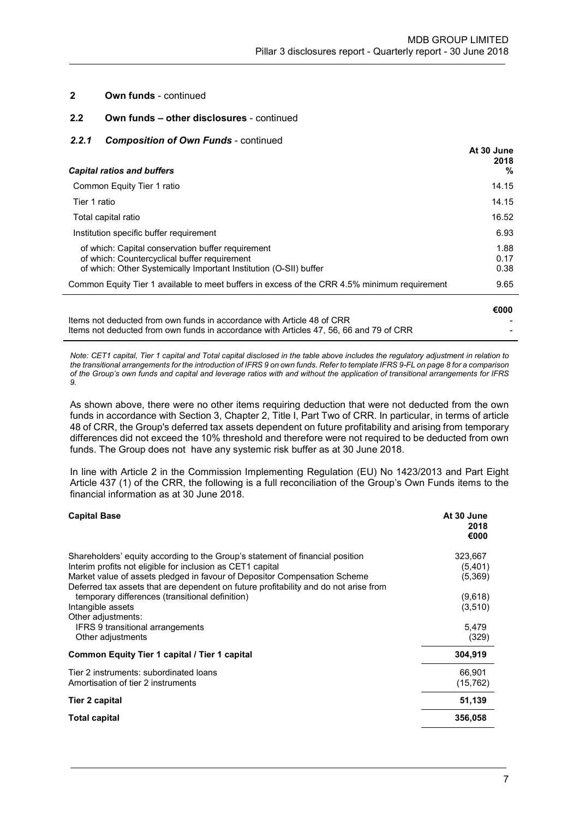### 2.2 Own funds – other disclosures - continued

### 2.2.1 Composition of Own Funds - continued

| <b>Capital ratios and buffers</b>                                                                                                                                      | At 30 June<br>2018<br>% |
|------------------------------------------------------------------------------------------------------------------------------------------------------------------------|-------------------------|
| Common Equity Tier 1 ratio                                                                                                                                             | 14.15                   |
| Tier 1 ratio                                                                                                                                                           | 14.15                   |
| Total capital ratio                                                                                                                                                    | 16.52                   |
| Institution specific buffer requirement                                                                                                                                | 6.93                    |
| of which: Capital conservation buffer requirement<br>of which: Countercyclical buffer requirement<br>of which: Other Systemically Important Institution (O-SII) buffer | 1.88<br>0.17<br>0.38    |
| Common Equity Tier 1 available to meet buffers in excess of the CRR 4.5% minimum requirement                                                                           | 9.65                    |
|                                                                                                                                                                        | €000                    |

Items not deducted from own funds in accordance with Article 48 of CRR Items not deducted from own funds in accordance with Articles 47, 56, 66 and 79 of CRR

Note: CET1 capital, Tier 1 capital and Total capital disclosed in the table above includes the regulatory adjustment in relation to the transitional arrangements for the introduction of IFRS 9 on own funds. Refer to template IFRS 9-FL on page 8 for a comparison of the Group's own funds and capital and leverage ratios with and without the application of transitional arrangements for IFRS 9.

As shown above, there were no other items requiring deduction that were not deducted from the own funds in accordance with Section 3, Chapter 2, Title I, Part Two of CRR. In particular, in terms of article 48 of CRR, the Group's deferred tax assets dependent on future profitability and arising from temporary differences did not exceed the 10% threshold and therefore were not required to be deducted from own funds. The Group does not have any systemic risk buffer as at 30 June 2018.

In line with Article 2 in the Commission Implementing Regulation (EU) No 1423/2013 and Part Eight Article 437 (1) of the CRR, the following is a full reconciliation of the Group's Own Funds items to the financial information as at 30 June 2018.

| <b>Capital Base</b>                                                                                                                                                                                                                                                                                                                                                                                                                                       | At 30 June<br>2018<br>€000                                   |
|-----------------------------------------------------------------------------------------------------------------------------------------------------------------------------------------------------------------------------------------------------------------------------------------------------------------------------------------------------------------------------------------------------------------------------------------------------------|--------------------------------------------------------------|
| Shareholders' equity according to the Group's statement of financial position<br>Interim profits not eligible for inclusion as CET1 capital<br>Market value of assets pledged in favour of Depositor Compensation Scheme<br>Deferred tax assets that are dependent on future profitability and do not arise from<br>temporary differences (transitional definition)<br>Intangible assets<br>Other adjustments:<br><b>IFRS 9 transitional arrangements</b> | 323,667<br>(5,401)<br>(5,369)<br>(9,618)<br>(3,510)<br>5.479 |
| Other adjustments                                                                                                                                                                                                                                                                                                                                                                                                                                         | (329)                                                        |
| Common Equity Tier 1 capital / Tier 1 capital<br>Tier 2 instruments: subordinated loans<br>Amortisation of tier 2 instruments                                                                                                                                                                                                                                                                                                                             | 304,919<br>66,901<br>(15, 762)                               |
| Tier 2 capital                                                                                                                                                                                                                                                                                                                                                                                                                                            | 51,139                                                       |
| <b>Total capital</b>                                                                                                                                                                                                                                                                                                                                                                                                                                      | 356,058                                                      |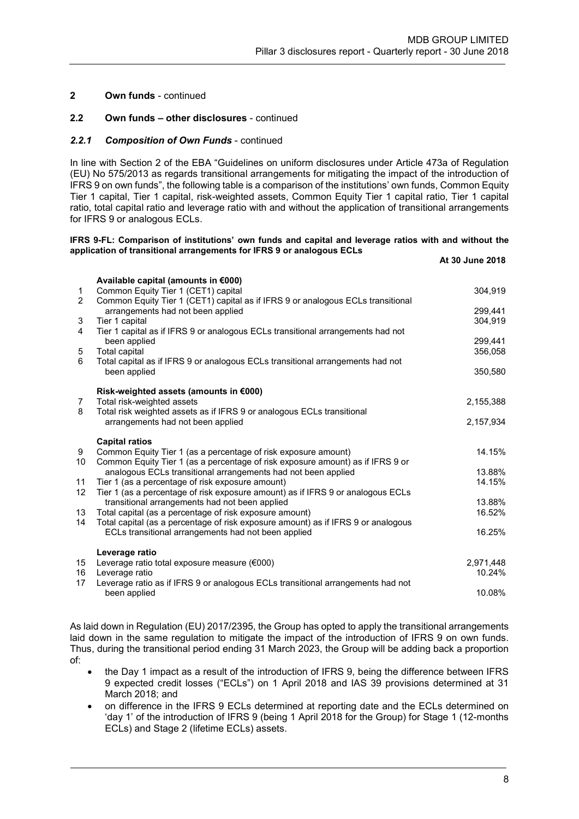### 2.2 Own funds – other disclosures - continued

### 2.2.1 Composition of Own Funds - continued

In line with Section 2 of the EBA "Guidelines on uniform disclosures under Article 473a of Regulation (EU) No 575/2013 as regards transitional arrangements for mitigating the impact of the introduction of IFRS 9 on own funds", the following table is a comparison of the institutions' own funds, Common Equity Tier 1 capital, Tier 1 capital, risk-weighted assets, Common Equity Tier 1 capital ratio, Tier 1 capital ratio, total capital ratio and leverage ratio with and without the application of transitional arrangements for IFRS 9 or analogous ECLs.

#### IFRS 9-FL: Comparison of institutions' own funds and capital and leverage ratios with and without the application of transitional arrangements for IFRS 9 or analogous ECLs

|                |                                                                                                                                                  | At 30 June 2018     |
|----------------|--------------------------------------------------------------------------------------------------------------------------------------------------|---------------------|
|                | Available capital (amounts in €000)                                                                                                              |                     |
| 1              | Common Equity Tier 1 (CET1) capital                                                                                                              | 304,919             |
| $\overline{2}$ | Common Equity Tier 1 (CET1) capital as if IFRS 9 or analogous ECLs transitional<br>arrangements had not been applied                             | 299,441             |
| 3              | Tier 1 capital                                                                                                                                   | 304.919             |
| 4              | Tier 1 capital as if IFRS 9 or analogous ECLs transitional arrangements had not                                                                  |                     |
| 5              | been applied<br><b>Total capital</b>                                                                                                             | 299,441<br>356,058  |
| 6              | Total capital as if IFRS 9 or analogous ECLs transitional arrangements had not                                                                   |                     |
|                | been applied                                                                                                                                     | 350,580             |
|                | Risk-weighted assets (amounts in €000)                                                                                                           |                     |
| 7              | Total risk-weighted assets                                                                                                                       | 2,155,388           |
| 8              | Total risk weighted assets as if IFRS 9 or analogous ECLs transitional<br>arrangements had not been applied                                      | 2,157,934           |
|                |                                                                                                                                                  |                     |
|                | <b>Capital ratios</b>                                                                                                                            |                     |
| 9<br>10        | Common Equity Tier 1 (as a percentage of risk exposure amount)<br>Common Equity Tier 1 (as a percentage of risk exposure amount) as if IFRS 9 or | 14.15%              |
|                | analogous ECLs transitional arrangements had not been applied                                                                                    | 13.88%              |
| 11             | Tier 1 (as a percentage of risk exposure amount)                                                                                                 | 14.15%              |
| 12             | Tier 1 (as a percentage of risk exposure amount) as if IFRS 9 or analogous ECLs<br>transitional arrangements had not been applied                | 13.88%              |
| 13             | Total capital (as a percentage of risk exposure amount)                                                                                          | 16.52%              |
| 14             | Total capital (as a percentage of risk exposure amount) as if IFRS 9 or analogous                                                                | 16.25%              |
|                | ECLs transitional arrangements had not been applied                                                                                              |                     |
|                | Leverage ratio                                                                                                                                   |                     |
| 15<br>16       | Leverage ratio total exposure measure (€000)<br>Leverage ratio                                                                                   | 2,971,448<br>10.24% |
| 17             | Leverage ratio as if IFRS 9 or analogous ECLs transitional arrangements had not                                                                  |                     |
|                | been applied                                                                                                                                     | 10.08%              |
|                |                                                                                                                                                  |                     |

As laid down in Regulation (EU) 2017/2395, the Group has opted to apply the transitional arrangements laid down in the same regulation to mitigate the impact of the introduction of IFRS 9 on own funds. Thus, during the transitional period ending 31 March 2023, the Group will be adding back a proportion of:

- the Day 1 impact as a result of the introduction of IFRS 9, being the difference between IFRS 9 expected credit losses ("ECLs") on 1 April 2018 and IAS 39 provisions determined at 31 March 2018; and
- on difference in the IFRS 9 ECLs determined at reporting date and the ECLs determined on 'day 1' of the introduction of IFRS 9 (being 1 April 2018 for the Group) for Stage 1 (12-months ECLs) and Stage 2 (lifetime ECLs) assets.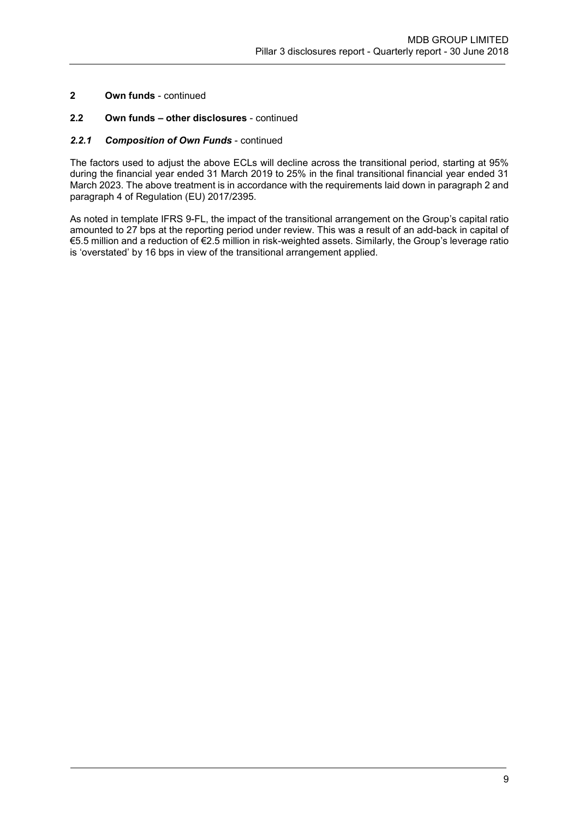# 2.2 Own funds – other disclosures - continued

## 2.2.1 Composition of Own Funds - continued

The factors used to adjust the above ECLs will decline across the transitional period, starting at 95% during the financial year ended 31 March 2019 to 25% in the final transitional financial year ended 31 March 2023. The above treatment is in accordance with the requirements laid down in paragraph 2 and paragraph 4 of Regulation (EU) 2017/2395.

As noted in template IFRS 9-FL, the impact of the transitional arrangement on the Group's capital ratio amounted to 27 bps at the reporting period under review. This was a result of an add-back in capital of €5.5 million and a reduction of €2.5 million in risk-weighted assets. Similarly, the Group's leverage ratio is 'overstated' by 16 bps in view of the transitional arrangement applied.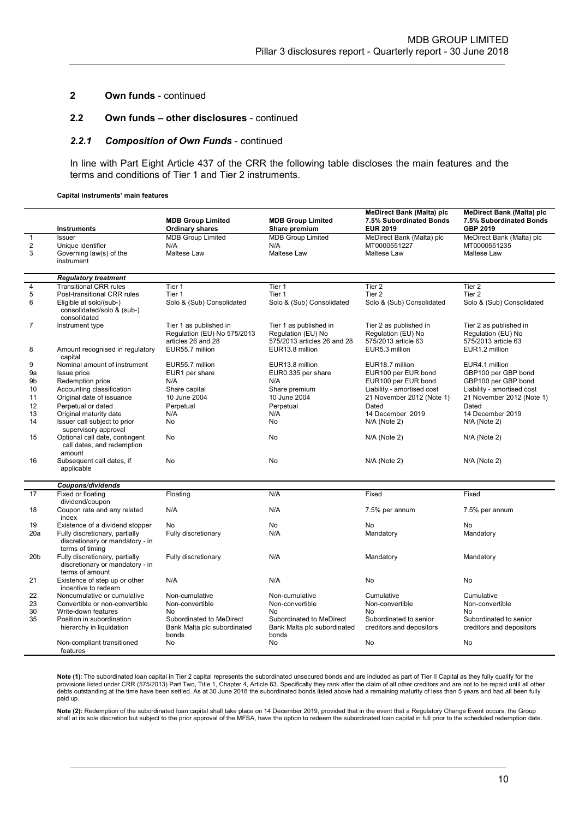### 2.2 Own funds – other disclosures - continued

#### 2.2.1 Composition of Own Funds - continued

In line with Part Eight Article 437 of the CRR the following table discloses the main features and the terms and conditions of Tier 1 and Tier 2 instruments.

Capital instruments' main features

|                 | <b>Instruments</b>                                                                   | <b>MDB Group Limited</b><br><b>Ordinary shares</b>                          | <b>MDB Group Limited</b><br>Share premium                                   | <b>MeDirect Bank (Malta) plc</b><br>7.5% Subordinated Bonds<br><b>EUR 2019</b> | <b>MeDirect Bank (Malta) plc</b><br>7.5% Subordinated Bonds<br>GBP 2019 |
|-----------------|--------------------------------------------------------------------------------------|-----------------------------------------------------------------------------|-----------------------------------------------------------------------------|--------------------------------------------------------------------------------|-------------------------------------------------------------------------|
| $\mathbf{1}$    | <b>Issuer</b>                                                                        | <b>MDB Group Limited</b>                                                    | <b>MDB Group Limited</b>                                                    | MeDirect Bank (Malta) plc                                                      | MeDirect Bank (Malta) plc                                               |
| 2               | Unique identifier                                                                    | N/A                                                                         | N/A                                                                         | MT0000551227                                                                   | MT0000551235                                                            |
| 3               | Governing law(s) of the<br>instrument                                                | Maltese Law                                                                 | Maltese Law                                                                 | Maltese Law                                                                    | <b>Maltese Law</b>                                                      |
|                 | <b>Regulatory treatment</b>                                                          |                                                                             |                                                                             |                                                                                |                                                                         |
| $\overline{4}$  | <b>Transitional CRR rules</b>                                                        | Tier 1                                                                      | Tier 1                                                                      | Tier <sub>2</sub>                                                              | Tier $\overline{2}$                                                     |
| 5               | Post-transitional CRR rules                                                          | Tier 1                                                                      | Tier 1                                                                      | Tier 2                                                                         | Tier 2                                                                  |
| 6               | Eligible at solo/(sub-)<br>consolidated/solo & (sub-)<br>consolidated                | Solo & (Sub) Consolidated                                                   | Solo & (Sub) Consolidated                                                   | Solo & (Sub) Consolidated                                                      | Solo & (Sub) Consolidated                                               |
| 7               | Instrument type                                                                      | Tier 1 as published in<br>Regulation (EU) No 575/2013<br>articles 26 and 28 | Tier 1 as published in<br>Regulation (EU) No<br>575/2013 articles 26 and 28 | Tier 2 as published in<br>Regulation (EU) No<br>575/2013 article 63            | Tier 2 as published in<br>Regulation (EU) No<br>575/2013 article 63     |
| 8               | Amount recognised in regulatory<br>capital                                           | EUR55.7 million                                                             | EUR13.8 million                                                             | EUR5.3 million                                                                 | EUR1.2 million                                                          |
| 9               | Nominal amount of instrument                                                         | EUR55.7 million                                                             | EUR13.8 million                                                             | EUR18.7 million                                                                | EUR4.1 million                                                          |
| 9a              | Issue price                                                                          | EUR1 per share                                                              | EUR0.335 per share                                                          | EUR100 per EUR bond                                                            | GBP100 per GBP bond                                                     |
| 9b              | Redemption price                                                                     | N/A                                                                         | N/A                                                                         | EUR100 per EUR bond                                                            | GBP100 per GBP bond                                                     |
| 10              | Accounting classification                                                            | Share capital                                                               | Share premium                                                               | Liability - amortised cost                                                     | Liability - amortised cost                                              |
| 11              | Original date of issuance                                                            | 10 June 2004                                                                | 10 June 2004                                                                | 21 November 2012 (Note 1)                                                      | 21 November 2012 (Note 1)                                               |
| 12              | Perpetual or dated                                                                   | Perpetual                                                                   | Perpetual                                                                   | Dated                                                                          | Dated                                                                   |
| 13              | Original maturity date                                                               | N/A                                                                         | N/A                                                                         | 14 December 2019                                                               | 14 December 2019                                                        |
| 14              | Issuer call subject to prior<br>supervisory approval                                 | No                                                                          | No                                                                          | N/A (Note 2)                                                                   | $N/A$ (Note 2)                                                          |
| 15              | Optional call date, contingent<br>call dates, and redemption<br>amount               | No                                                                          | No                                                                          | N/A (Note 2)                                                                   | $N/A$ (Note 2)                                                          |
| 16              | Subsequent call dates, if<br>applicable                                              | No                                                                          | No                                                                          | N/A (Note 2)                                                                   | $N/A$ (Note 2)                                                          |
|                 | Coupons/dividends                                                                    |                                                                             |                                                                             |                                                                                |                                                                         |
| 17              | Fixed or floating<br>dividend/coupon                                                 | Floating                                                                    | N/A                                                                         | Fixed                                                                          | Fixed                                                                   |
| 18              | Coupon rate and any related<br>index                                                 | N/A                                                                         | N/A                                                                         | 7.5% per annum                                                                 | 7.5% per annum                                                          |
| 19              | Existence of a dividend stopper                                                      | No                                                                          | No                                                                          | No                                                                             | No                                                                      |
| 20a             | Fully discretionary, partially<br>discretionary or mandatory - in<br>terms of timing | Fully discretionary                                                         | N/A                                                                         | Mandatory                                                                      | Mandatory                                                               |
| 20 <sub>b</sub> | Fully discretionary, partially<br>discretionary or mandatory - in<br>terms of amount | Fully discretionary                                                         | N/A                                                                         | Mandatory                                                                      | Mandatory                                                               |
| 21              | Existence of step up or other<br>incentive to redeem                                 | N/A                                                                         | N/A                                                                         | No                                                                             | No                                                                      |
| 22              | Noncumulative or cumulative                                                          | Non-cumulative                                                              | Non-cumulative                                                              | Cumulative                                                                     | Cumulative                                                              |
| 23              | Convertible or non-convertible                                                       | Non-convertible                                                             | Non-convertible                                                             | Non-convertible                                                                | Non-convertible                                                         |
| 30              | Write-down features                                                                  | No                                                                          | No.                                                                         | No                                                                             | <b>No</b>                                                               |
| 35              | Position in subordination<br>hierarchy in liquidation                                | Subordinated to MeDirect<br>Bank Malta plc subordinated                     | Subordinated to MeDirect<br>Bank Malta plc subordinated                     | Subordinated to senior<br>creditors and depositors                             | Subordinated to senior<br>creditors and depositors                      |
|                 | Non-compliant transitioned<br>features                                               | bonds<br>No                                                                 | bonds<br>No                                                                 | No                                                                             | No                                                                      |

Note (1): The subordinated loan capital in Tier 2 capital represents the subordinated unsecured bonds and are included as part of Tier II Capital as they fully qualify for the provisions listed under CRR (575/2013) Part Two, Title 1, Chapter 4, Article 63. Specifically they rank after the claim of all other creditors and are not to be repaid until all other<br>debts outstanding at the time have bee paid up.

**Note (2):** Redemption of the subordinated loan capital shall take place on 14 December 2019, provided that in the event that a Regulatory Change Event occurs, the Group<br>shall at its sole discretion but subject to the prio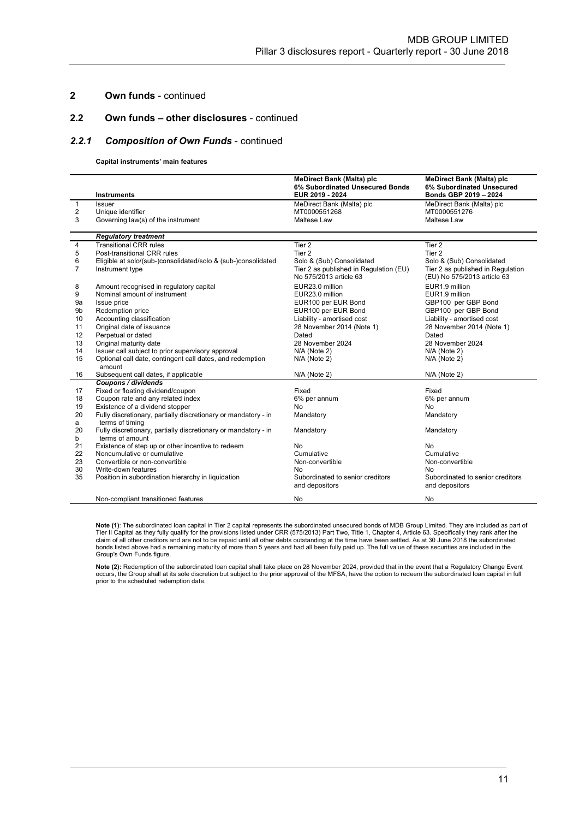## 2.2 Own funds – other disclosures - continued

### 2.2.1 Composition of Own Funds - continued

#### Capital instruments' main features

|                | <b>Instruments</b>                                                                | <b>MeDirect Bank (Malta) plc</b><br>6% Subordinated Unsecured Bonds<br>EUR 2019 - 2024 | <b>MeDirect Bank (Malta) plc</b><br>6% Subordinated Unsecured<br>Bonds GBP 2019 - 2024 |
|----------------|-----------------------------------------------------------------------------------|----------------------------------------------------------------------------------------|----------------------------------------------------------------------------------------|
| 1              | <b>Issuer</b>                                                                     | MeDirect Bank (Malta) plc                                                              | MeDirect Bank (Malta) plc                                                              |
| 2              | Unique identifier                                                                 | MT0000551268                                                                           | MT0000551276                                                                           |
| 3              | Governing law(s) of the instrument                                                | Maltese Law                                                                            | Maltese Law                                                                            |
|                |                                                                                   |                                                                                        |                                                                                        |
|                | <b>Regulatory treatment</b>                                                       |                                                                                        |                                                                                        |
| 4              | <b>Transitional CRR rules</b>                                                     | Tier 2                                                                                 | Tier <sub>2</sub>                                                                      |
| 5              | Post-transitional CRR rules                                                       | Tier 2                                                                                 | Tier 2                                                                                 |
| 6              | Eligible at solo/(sub-)consolidated/solo & (sub-)consolidated                     | Solo & (Sub) Consolidated                                                              | Solo & (Sub) Consolidated                                                              |
| $\overline{7}$ | Instrument type                                                                   | Tier 2 as published in Regulation (EU)<br>No 575/2013 article 63                       | Tier 2 as published in Regulation<br>(EU) No 575/2013 article 63                       |
| 8              | Amount recognised in regulatory capital                                           | EUR23.0 million                                                                        | EUR1.9 million                                                                         |
| 9              | Nominal amount of instrument                                                      | EUR23.0 million                                                                        | EUR1.9 million                                                                         |
| 9a             | Issue price                                                                       | EUR100 per EUR Bond                                                                    | GBP100 per GBP Bond                                                                    |
| 9b             | Redemption price                                                                  | EUR100 per EUR Bond                                                                    | GBP100 per GBP Bond                                                                    |
| 10             | Accounting classification                                                         | Liability - amortised cost                                                             | Liability - amortised cost                                                             |
| 11             | Original date of issuance                                                         | 28 November 2014 (Note 1)                                                              | 28 November 2014 (Note 1)                                                              |
| 12             | Perpetual or dated                                                                | Dated                                                                                  | Dated                                                                                  |
| 13             | Original maturity date                                                            | 28 November 2024                                                                       | 28 November 2024                                                                       |
| 14             | Issuer call subject to prior supervisory approval                                 | $N/A$ (Note 2)                                                                         | $N/A$ (Note 2)                                                                         |
| 15             | Optional call date, contingent call dates, and redemption                         | N/A (Note 2)                                                                           | $N/A$ (Note 2)                                                                         |
|                | amount                                                                            |                                                                                        |                                                                                        |
| 16             | Subsequent call dates, if applicable                                              | $N/A$ (Note 2)                                                                         | $N/A$ (Note 2)                                                                         |
|                | Coupons / dividends                                                               |                                                                                        |                                                                                        |
| 17             | Fixed or floating dividend/coupon                                                 | Fixed                                                                                  | Fixed                                                                                  |
| 18             | Coupon rate and any related index                                                 | 6% per annum                                                                           | 6% per annum                                                                           |
| 19             | Existence of a dividend stopper                                                   | <b>No</b>                                                                              | <b>No</b>                                                                              |
| 20             | Fully discretionary, partially discretionary or mandatory - in                    | Mandatory                                                                              | Mandatory                                                                              |
| a              | terms of timing                                                                   |                                                                                        |                                                                                        |
| 20             | Fully discretionary, partially discretionary or mandatory - in<br>terms of amount | Mandatory                                                                              | Mandatory                                                                              |
| b<br>21        |                                                                                   | No                                                                                     | <b>No</b>                                                                              |
|                | Existence of step up or other incentive to redeem<br>Noncumulative or cumulative  | Cumulative                                                                             | Cumulative                                                                             |
| 22<br>23       | Convertible or non-convertible                                                    | Non-convertible                                                                        | Non-convertible                                                                        |
| 30             | Write-down features                                                               | No                                                                                     | No.                                                                                    |
| 35             | Position in subordination hierarchy in liquidation                                | Subordinated to senior creditors                                                       | Subordinated to senior creditors                                                       |
|                |                                                                                   | and depositors                                                                         | and depositors                                                                         |
|                | Non-compliant transitioned features                                               | No                                                                                     | No                                                                                     |

Note (1): The subordinated loan capital in Tier 2 capital represents the subordinated unsecured bonds of MDB Group Limited. They are included as part of Tier II Capital as they fully qualify for the provisions listed under CRR (575/2013) Part Two, Title 1, Chapter 4, Article 63. Specifically they rank after the<br>claim of all other creditors and are not to be repaid until al bonds listed above had a remaining maturity of more than 5 years and had all been fully paid up. The full value of these securities are included in the Group's Own Funds figure.

**Note (2):** Redemption of the subordinated loan capital shall take place on 28 November 2024, provided that in the event that a Regulatory Change Event<br>occurs, the Group shall at its sole discretion but subject to the prio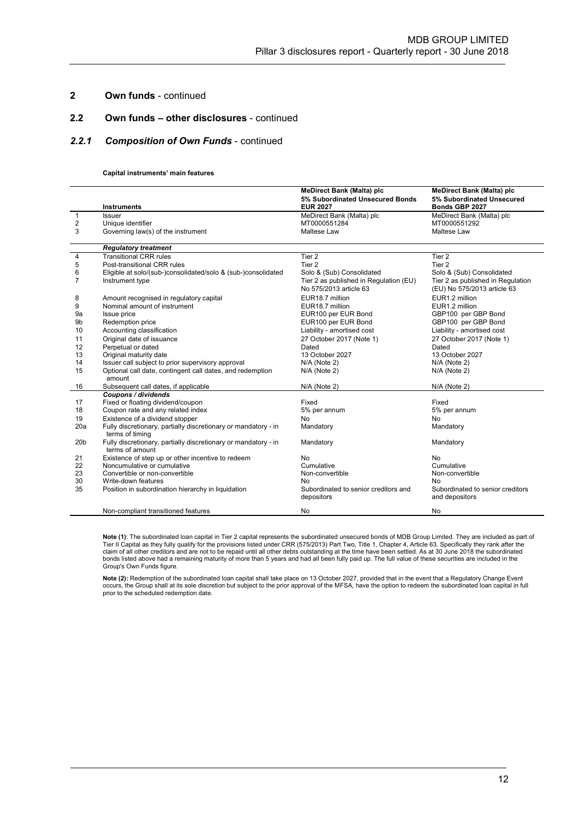## 2.2 Own funds – other disclosures - continued

### 2.2.1 Composition of Own Funds - continued

#### Capital instruments' main features

|                 |                                                                                   | <b>MeDirect Bank (Malta) plc</b>          | <b>MeDirect Bank (Malta) plc</b>  |
|-----------------|-----------------------------------------------------------------------------------|-------------------------------------------|-----------------------------------|
|                 |                                                                                   | 5% Subordinated Unsecured Bonds           | 5% Subordinated Unsecured         |
|                 | <b>Instruments</b>                                                                | <b>EUR 2027</b>                           | Bonds GBP 2027                    |
| $\mathbf{1}$    | <b>Issuer</b>                                                                     | MeDirect Bank (Malta) plc<br>MT0000551284 | MeDirect Bank (Malta) plc         |
| 2               | Unique identifier                                                                 | Maltese Law                               | MT0000551292<br>Maltese Law       |
| 3               | Governing law(s) of the instrument                                                |                                           |                                   |
|                 | <b>Regulatory treatment</b>                                                       |                                           |                                   |
| 4               | <b>Transitional CRR rules</b>                                                     | Tier 2                                    | Tier 2                            |
| 5               | Post-transitional CRR rules                                                       | Tier <sub>2</sub>                         | Tier 2                            |
| 6               | Eligible at solo/(sub-)consolidated/solo & (sub-)consolidated                     | Solo & (Sub) Consolidated                 | Solo & (Sub) Consolidated         |
| 7               | Instrument type                                                                   | Tier 2 as published in Regulation (EU)    | Tier 2 as published in Regulation |
|                 |                                                                                   | No 575/2013 article 63                    | (EU) No 575/2013 article 63       |
| 8               | Amount recognised in regulatory capital                                           | EUR18.7 million                           | EUR1.2 million                    |
| 9               | Nominal amount of instrument                                                      | EUR18.7 million                           | EUR1.2 million                    |
| 9a              | Issue price                                                                       | EUR100 per EUR Bond                       | GBP100 per GBP Bond               |
| 9b              | Redemption price                                                                  | EUR100 per EUR Bond                       | GBP100 per GBP Bond               |
| 10              | Accounting classification                                                         | Liability - amortised cost                | Liability - amortised cost        |
| 11              | Original date of issuance                                                         | 27 October 2017 (Note 1)                  | 27 October 2017 (Note 1)          |
| 12              | Perpetual or dated                                                                | Dated                                     | Dated                             |
| 13              | Original maturity date                                                            | 13 October 2027                           | 13 October 2027                   |
| 14              | Issuer call subject to prior supervisory approval                                 | N/A (Note 2)                              | N/A (Note 2)                      |
| 15              | Optional call date, contingent call dates, and redemption                         | N/A (Note 2)                              | N/A (Note 2)                      |
|                 | amount                                                                            |                                           |                                   |
| 16              | Subsequent call dates, if applicable                                              | $N/A$ (Note 2)                            | N/A (Note 2)                      |
|                 | Coupons / dividends                                                               |                                           |                                   |
| 17              | Fixed or floating dividend/coupon                                                 | Fixed                                     | Fixed                             |
| 18              | Coupon rate and any related index                                                 | 5% per annum                              | 5% per annum                      |
| 19              | Existence of a dividend stopper                                                   | No                                        | No                                |
| 20a             | Fully discretionary, partially discretionary or mandatory - in<br>terms of timing | Mandatory                                 | Mandatory                         |
| 20 <sub>b</sub> | Fully discretionary, partially discretionary or mandatory - in                    | Mandatory                                 | Mandatory                         |
|                 | terms of amount                                                                   |                                           |                                   |
| 21              | Existence of step up or other incentive to redeem                                 | No.                                       | No                                |
| 22              | Noncumulative or cumulative                                                       | Cumulative                                | Cumulative                        |
| 23              | Convertible or non-convertible                                                    | Non-convertible                           | Non-convertible                   |
| 30              | Write-down features                                                               | No                                        | No                                |
| 35              | Position in subordination hierarchy in liquidation                                | Subordinated to senior creditors and      | Subordinated to senior creditors  |
|                 |                                                                                   | depositors                                | and depositors                    |
|                 | Non-compliant transitioned features                                               | No                                        | No                                |

**Note (1)**: The subordinated loan capital in Tier 2 capital represents the subordinated unsecured bonds of MDB Group Limited. They are included as part of<br>Tier II Capital as they fully qualify for the provisions listed und bonds listed above had a remaining maturity of more than 5 years and had all been fully paid up. The full value of these securities are included in the Group's Own Funds figure.

**Note (2):** Redemption of the subordinated loan capital shall take place on 13 October 2027, provided that in the event that a Regulatory Change Event<br>occurs, the Group shall at its sole discretion but subject to the prior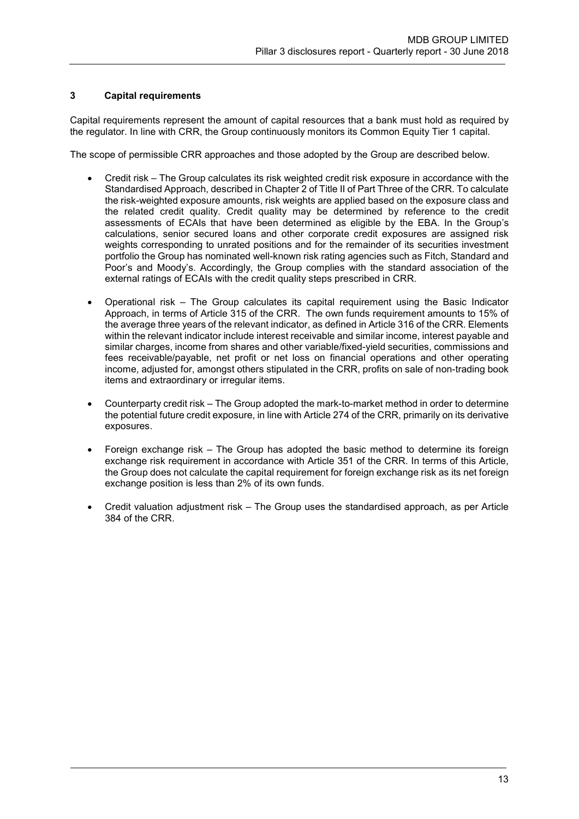# 3 Capital requirements

Capital requirements represent the amount of capital resources that a bank must hold as required by the regulator. In line with CRR, the Group continuously monitors its Common Equity Tier 1 capital.

The scope of permissible CRR approaches and those adopted by the Group are described below.

- Credit risk The Group calculates its risk weighted credit risk exposure in accordance with the Standardised Approach, described in Chapter 2 of Title II of Part Three of the CRR. To calculate the risk-weighted exposure amounts, risk weights are applied based on the exposure class and the related credit quality. Credit quality may be determined by reference to the credit assessments of ECAIs that have been determined as eligible by the EBA. In the Group's calculations, senior secured loans and other corporate credit exposures are assigned risk weights corresponding to unrated positions and for the remainder of its securities investment portfolio the Group has nominated well-known risk rating agencies such as Fitch, Standard and Poor's and Moody's. Accordingly, the Group complies with the standard association of the external ratings of ECAIs with the credit quality steps prescribed in CRR.
- Operational risk The Group calculates its capital requirement using the Basic Indicator Approach, in terms of Article 315 of the CRR. The own funds requirement amounts to 15% of the average three years of the relevant indicator, as defined in Article 316 of the CRR. Elements within the relevant indicator include interest receivable and similar income, interest payable and similar charges, income from shares and other variable/fixed-yield securities, commissions and fees receivable/payable, net profit or net loss on financial operations and other operating income, adjusted for, amongst others stipulated in the CRR, profits on sale of non-trading book items and extraordinary or irregular items.
- Counterparty credit risk The Group adopted the mark-to-market method in order to determine the potential future credit exposure, in line with Article 274 of the CRR, primarily on its derivative exposures.
- Foreign exchange risk The Group has adopted the basic method to determine its foreign exchange risk requirement in accordance with Article 351 of the CRR. In terms of this Article, the Group does not calculate the capital requirement for foreign exchange risk as its net foreign exchange position is less than 2% of its own funds.
- Credit valuation adjustment risk The Group uses the standardised approach, as per Article 384 of the CRR.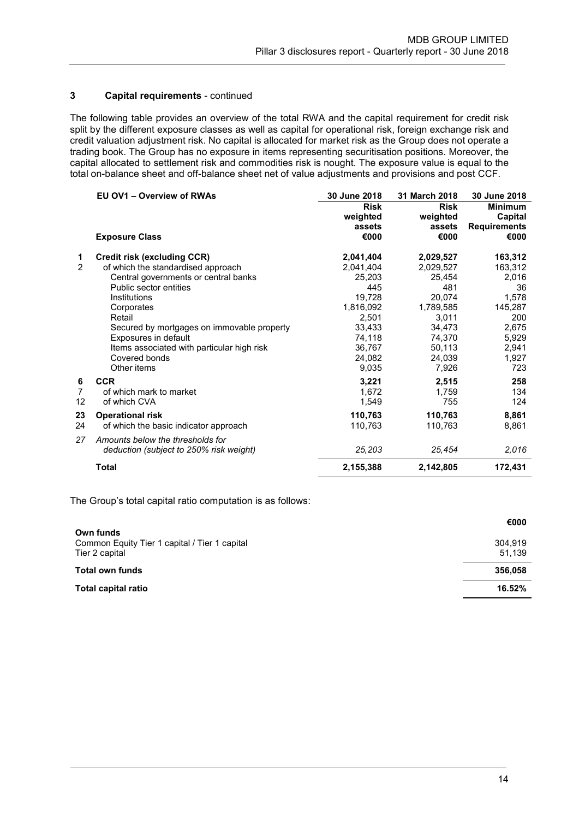# 3 Capital requirements - continued

The following table provides an overview of the total RWA and the capital requirement for credit risk split by the different exposure classes as well as capital for operational risk, foreign exchange risk and credit valuation adjustment risk. No capital is allocated for market risk as the Group does not operate a trading book. The Group has no exposure in items representing securitisation positions. Moreover, the capital allocated to settlement risk and commodities risk is nought. The exposure value is equal to the total on-balance sheet and off-balance sheet net of value adjustments and provisions and post CCF.

|                | EU OV1 - Overview of RWAs                  | 30 June 2018 | 31 March 2018 | 30 June 2018        |
|----------------|--------------------------------------------|--------------|---------------|---------------------|
|                |                                            | <b>Risk</b>  | <b>Risk</b>   | <b>Minimum</b>      |
|                |                                            | weighted     | weighted      | Capital             |
|                |                                            | assets       | assets        | <b>Requirements</b> |
|                | <b>Exposure Class</b>                      | €000         | €000          | €000                |
| 1              | Credit risk (excluding CCR)                | 2,041,404    | 2,029,527     | 163,312             |
| 2              | of which the standardised approach         | 2,041,404    | 2,029,527     | 163,312             |
|                | Central governments or central banks       | 25,203       | 25,454        | 2,016               |
|                | Public sector entities                     | 445          | 481           | 36                  |
|                | Institutions                               | 19,728       | 20,074        | 1,578               |
|                | Corporates                                 | 1,816,092    | 1,789,585     | 145,287             |
|                | Retail                                     | 2,501        | 3,011         | 200                 |
|                | Secured by mortgages on immovable property | 33,433       | 34,473        | 2,675               |
|                | Exposures in default                       | 74,118       | 74,370        | 5,929               |
|                | Items associated with particular high risk | 36,767       | 50,113        | 2,941               |
|                | Covered bonds                              | 24,082       | 24,039        | 1,927               |
|                | Other items                                | 9,035        | 7,926         | 723                 |
| 6              | <b>CCR</b>                                 | 3,221        | 2,515         | 258                 |
| $\overline{7}$ | of which mark to market                    | 1,672        | 1,759         | 134                 |
| 12             | of which CVA                               | 1,549        | 755           | 124                 |
| 23             | <b>Operational risk</b>                    | 110,763      | 110,763       | 8,861               |
| 24             | of which the basic indicator approach      | 110,763      | 110,763       | 8,861               |
| 27             | Amounts below the thresholds for           |              |               |                     |
|                | deduction (subject to 250% risk weight)    | 25,203       | 25,454        | 2,016               |
|                | <b>Total</b>                               | 2,155,388    | 2,142,805     | 172,431             |

The Group's total capital ratio computation is as follows:

|                                                                              | €000              |
|------------------------------------------------------------------------------|-------------------|
| Own funds<br>Common Equity Tier 1 capital / Tier 1 capital<br>Tier 2 capital | 304.919<br>51,139 |
| <b>Total own funds</b>                                                       | 356,058           |
| Total capital ratio                                                          | 16.52%            |
|                                                                              |                   |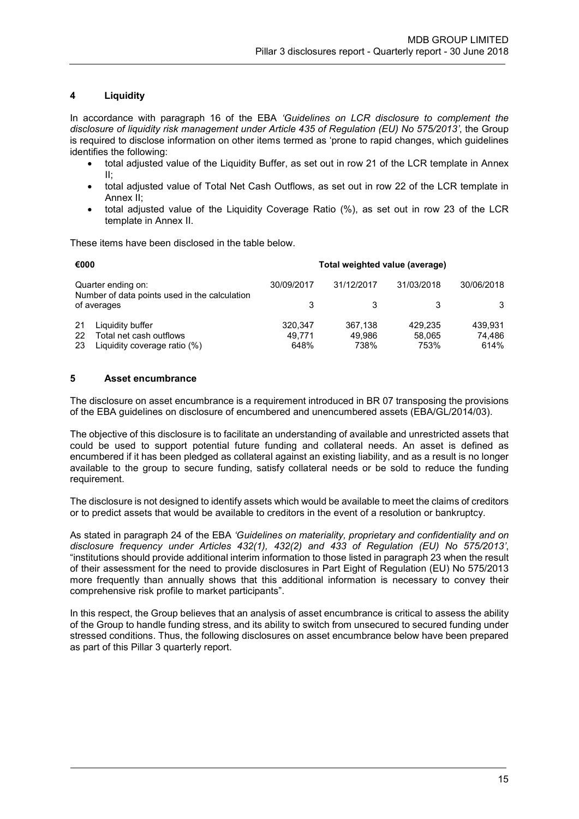# 4 Liquidity

In accordance with paragraph 16 of the EBA 'Guidelines on LCR disclosure to complement the disclosure of liquidity risk management under Article 435 of Regulation (EU) No 575/2013', the Group is required to disclose information on other items termed as 'prone to rapid changes, which guidelines identifies the following:

- total adjusted value of the Liquidity Buffer, as set out in row 21 of the LCR template in Annex II;
- total adjusted value of Total Net Cash Outflows, as set out in row 22 of the LCR template in Annex II;
- total adjusted value of the Liquidity Coverage Ratio (%), as set out in row 23 of the LCR template in Annex II.

These items have been disclosed in the table below.

| €000<br>Total weighted value (average)                                                            |                           |                           |                           |                           |
|---------------------------------------------------------------------------------------------------|---------------------------|---------------------------|---------------------------|---------------------------|
| Quarter ending on:<br>Number of data points used in the calculation                               | 30/09/2017                | 31/12/2017                | 31/03/2018                | 30/06/2018                |
| of averages                                                                                       |                           |                           |                           | 3                         |
| Liquidity buffer<br>-21<br>Total net cash outflows<br>22<br>23<br>Liquidity coverage ratio $(\%)$ | 320.347<br>49.771<br>648% | 367.138<br>49.986<br>738% | 429.235<br>58.065<br>753% | 439.931<br>74.486<br>614% |

# 5 Asset encumbrance

The disclosure on asset encumbrance is a requirement introduced in BR 07 transposing the provisions of the EBA guidelines on disclosure of encumbered and unencumbered assets (EBA/GL/2014/03).

The objective of this disclosure is to facilitate an understanding of available and unrestricted assets that could be used to support potential future funding and collateral needs. An asset is defined as encumbered if it has been pledged as collateral against an existing liability, and as a result is no longer available to the group to secure funding, satisfy collateral needs or be sold to reduce the funding requirement.

The disclosure is not designed to identify assets which would be available to meet the claims of creditors or to predict assets that would be available to creditors in the event of a resolution or bankruptcy.

As stated in paragraph 24 of the EBA 'Guidelines on materiality, proprietary and confidentiality and on disclosure frequency under Articles 432(1), 432(2) and 433 of Regulation (EU) No 575/2013', "institutions should provide additional interim information to those listed in paragraph 23 when the result of their assessment for the need to provide disclosures in Part Eight of Regulation (EU) No 575/2013 more frequently than annually shows that this additional information is necessary to convey their comprehensive risk profile to market participants".

In this respect, the Group believes that an analysis of asset encumbrance is critical to assess the ability of the Group to handle funding stress, and its ability to switch from unsecured to secured funding under stressed conditions. Thus, the following disclosures on asset encumbrance below have been prepared as part of this Pillar 3 quarterly report.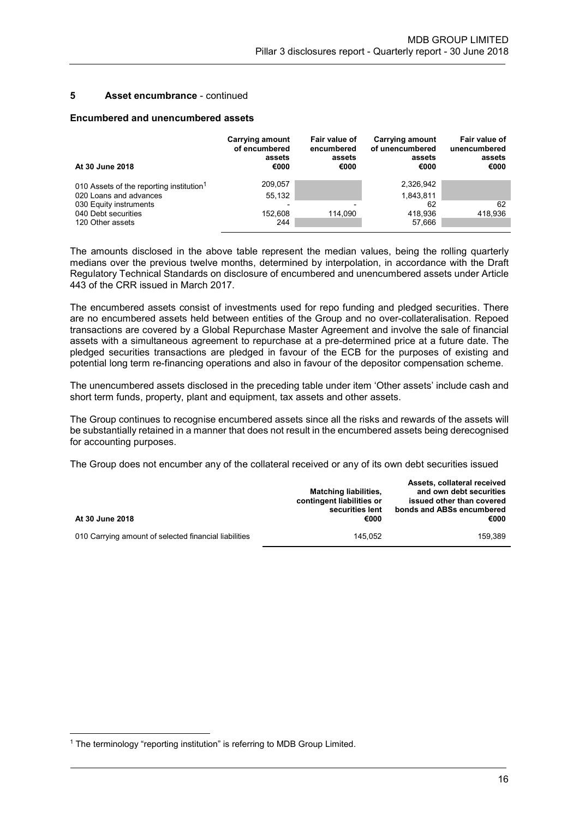### 5 Asset encumbrance - continued

### Encumbered and unencumbered assets

| At 30 June 2018                                      | Carrying amount<br>of encumbered<br>assets<br>€000 | Fair value of<br>encumbered<br>assets<br>€000 | <b>Carrying amount</b><br>of unencumbered<br>assets<br>€000 | Fair value of<br>unencumbered<br>assets<br>€000 |
|------------------------------------------------------|----------------------------------------------------|-----------------------------------------------|-------------------------------------------------------------|-------------------------------------------------|
| 010 Assets of the reporting institution <sup>1</sup> | 209,057                                            |                                               | 2,326,942                                                   |                                                 |
| 020 Loans and advances                               | 55.132                                             |                                               | 1,843,811                                                   |                                                 |
| 030 Equity instruments                               |                                                    |                                               | 62                                                          | 62                                              |
| 040 Debt securities                                  | 152.608                                            | 114.090                                       | 418.936                                                     | 418.936                                         |
| 120 Other assets                                     | 244                                                |                                               | 57,666                                                      |                                                 |

The amounts disclosed in the above table represent the median values, being the rolling quarterly medians over the previous twelve months, determined by interpolation, in accordance with the Draft Regulatory Technical Standards on disclosure of encumbered and unencumbered assets under Article 443 of the CRR issued in March 2017.

The encumbered assets consist of investments used for repo funding and pledged securities. There are no encumbered assets held between entities of the Group and no over-collateralisation. Repoed transactions are covered by a Global Repurchase Master Agreement and involve the sale of financial assets with a simultaneous agreement to repurchase at a pre-determined price at a future date. The pledged securities transactions are pledged in favour of the ECB for the purposes of existing and potential long term re-financing operations and also in favour of the depositor compensation scheme.

The unencumbered assets disclosed in the preceding table under item 'Other assets' include cash and short term funds, property, plant and equipment, tax assets and other assets.

The Group continues to recognise encumbered assets since all the risks and rewards of the assets will be substantially retained in a manner that does not result in the encumbered assets being derecognised for accounting purposes.

The Group does not encumber any of the collateral received or any of its own debt securities issued

| At 30 June 2018                                       | <b>Matching liabilities,</b><br>contingent liabilities or<br>securities lent<br>€000 | Assets, collateral received<br>and own debt securities<br>issued other than covered<br>bonds and ABSs encumbered<br>€000 |
|-------------------------------------------------------|--------------------------------------------------------------------------------------|--------------------------------------------------------------------------------------------------------------------------|
| 010 Carrying amount of selected financial liabilities | 145.052                                                                              | 159.389                                                                                                                  |

-

<sup>&</sup>lt;sup>1</sup> The terminology "reporting institution" is referring to MDB Group Limited.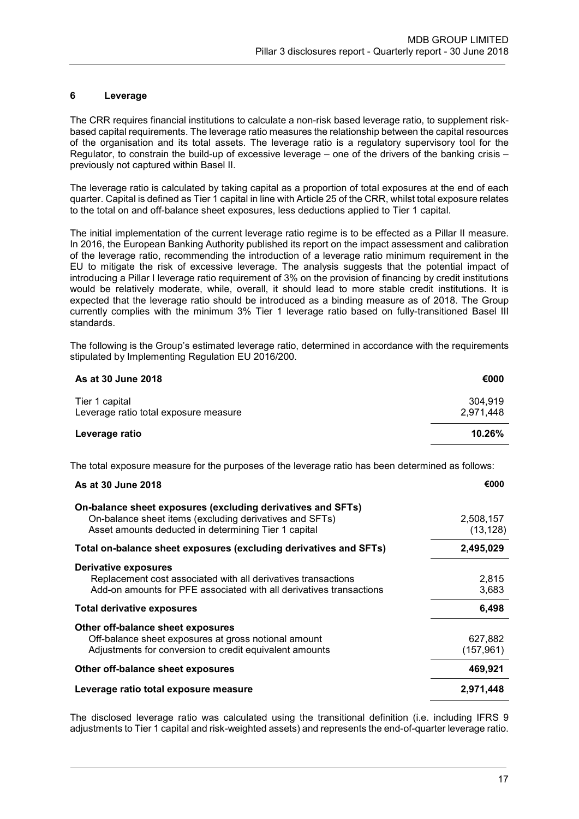# 6 Leverage

The CRR requires financial institutions to calculate a non-risk based leverage ratio, to supplement riskbased capital requirements. The leverage ratio measures the relationship between the capital resources of the organisation and its total assets. The leverage ratio is a regulatory supervisory tool for the Regulator, to constrain the build-up of excessive leverage – one of the drivers of the banking crisis – previously not captured within Basel II.

The leverage ratio is calculated by taking capital as a proportion of total exposures at the end of each quarter. Capital is defined as Tier 1 capital in line with Article 25 of the CRR, whilst total exposure relates to the total on and off-balance sheet exposures, less deductions applied to Tier 1 capital.

The initial implementation of the current leverage ratio regime is to be effected as a Pillar II measure. In 2016, the European Banking Authority published its report on the impact assessment and calibration of the leverage ratio, recommending the introduction of a leverage ratio minimum requirement in the EU to mitigate the risk of excessive leverage. The analysis suggests that the potential impact of introducing a Pillar I leverage ratio requirement of 3% on the provision of financing by credit institutions would be relatively moderate, while, overall, it should lead to more stable credit institutions. It is expected that the leverage ratio should be introduced as a binding measure as of 2018. The Group currently complies with the minimum 3% Tier 1 leverage ratio based on fully-transitioned Basel III standards.

The following is the Group's estimated leverage ratio, determined in accordance with the requirements stipulated by Implementing Regulation EU 2016/200.

| As at 30 June 2018                                      | €000                 |
|---------------------------------------------------------|----------------------|
| Tier 1 capital<br>Leverage ratio total exposure measure | 304.919<br>2,971,448 |
| Leverage ratio                                          | 10.26%               |

The total exposure measure for the purposes of the leverage ratio has been determined as follows:

| As at 30 June 2018                                                                                                                                                             | €000                   |
|--------------------------------------------------------------------------------------------------------------------------------------------------------------------------------|------------------------|
| On-balance sheet exposures (excluding derivatives and SFTs)<br>On-balance sheet items (excluding derivatives and SFTs)<br>Asset amounts deducted in determining Tier 1 capital | 2,508,157<br>(13, 128) |
| Total on-balance sheet exposures (excluding derivatives and SFTs)                                                                                                              | 2,495,029              |
| <b>Derivative exposures</b><br>Replacement cost associated with all derivatives transactions<br>Add-on amounts for PFE associated with all derivatives transactions            | 2,815<br>3,683         |
| Total derivative exposures                                                                                                                                                     | 6,498                  |
| Other off-balance sheet exposures<br>Off-balance sheet exposures at gross notional amount<br>Adjustments for conversion to credit equivalent amounts                           | 627,882<br>(157, 961)  |
| Other off-balance sheet exposures                                                                                                                                              | 469,921                |
| Leverage ratio total exposure measure                                                                                                                                          | 2,971,448              |

The disclosed leverage ratio was calculated using the transitional definition (i.e. including IFRS 9 adjustments to Tier 1 capital and risk-weighted assets) and represents the end-of-quarter leverage ratio.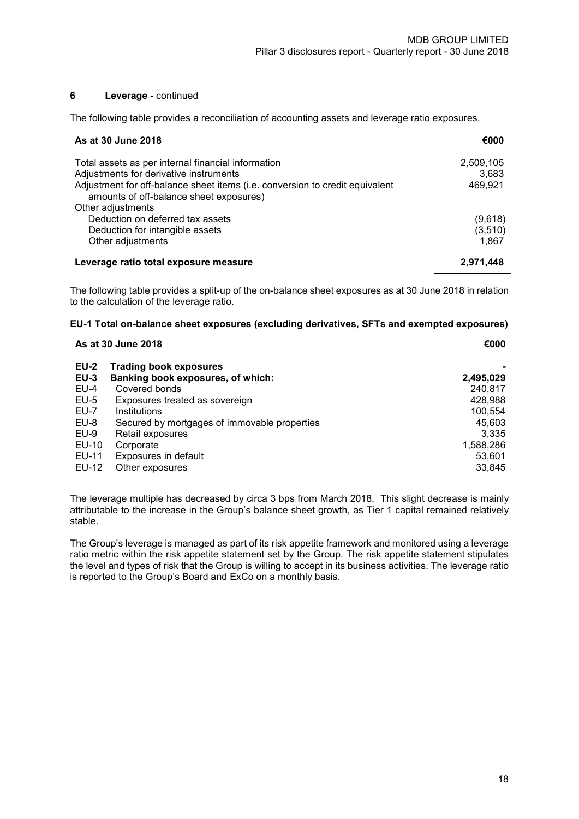# 6 Leverage - continued

The following table provides a reconciliation of accounting assets and leverage ratio exposures.

| As at 30 June 2018                                                                                                                                                | €000               |
|-------------------------------------------------------------------------------------------------------------------------------------------------------------------|--------------------|
| Total assets as per internal financial information                                                                                                                | 2,509,105          |
| Adjustments for derivative instruments<br>Adjustment for off-balance sheet items (i.e. conversion to credit equivalent<br>amounts of off-balance sheet exposures) | 3,683<br>469,921   |
| Other adjustments                                                                                                                                                 |                    |
| Deduction on deferred tax assets<br>Deduction for intangible assets                                                                                               | (9,618)<br>(3,510) |
| Other adjustments                                                                                                                                                 | 1.867              |
| Leverage ratio total exposure measure                                                                                                                             | 2,971,448          |

The following table provides a split-up of the on-balance sheet exposures as at 30 June 2018 in relation to the calculation of the leverage ratio.

## EU-1 Total on-balance sheet exposures (excluding derivatives, SFTs and exempted exposures)

| As at 30 June 2018 |                                              | €000      |  |
|--------------------|----------------------------------------------|-----------|--|
| <b>EU-2</b>        | <b>Trading book exposures</b>                |           |  |
| $EU-3$             | Banking book exposures, of which:            | 2,495,029 |  |
| $EU-4$             | Covered bonds                                | 240,817   |  |
| $EU-5$             | Exposures treated as sovereign               | 428,988   |  |
| <b>EU-7</b>        | Institutions                                 | 100,554   |  |
| EU-8               | Secured by mortgages of immovable properties | 45,603    |  |
| $EU-9$             | Retail exposures                             | 3,335     |  |
| EU-10              | Corporate                                    | 1,588,286 |  |
| EU-11              | Exposures in default                         | 53,601    |  |
| EU-12              | Other exposures                              | 33.845    |  |

The leverage multiple has decreased by circa 3 bps from March 2018. This slight decrease is mainly attributable to the increase in the Group's balance sheet growth, as Tier 1 capital remained relatively stable.

The Group's leverage is managed as part of its risk appetite framework and monitored using a leverage ratio metric within the risk appetite statement set by the Group. The risk appetite statement stipulates the level and types of risk that the Group is willing to accept in its business activities. The leverage ratio is reported to the Group's Board and ExCo on a monthly basis.